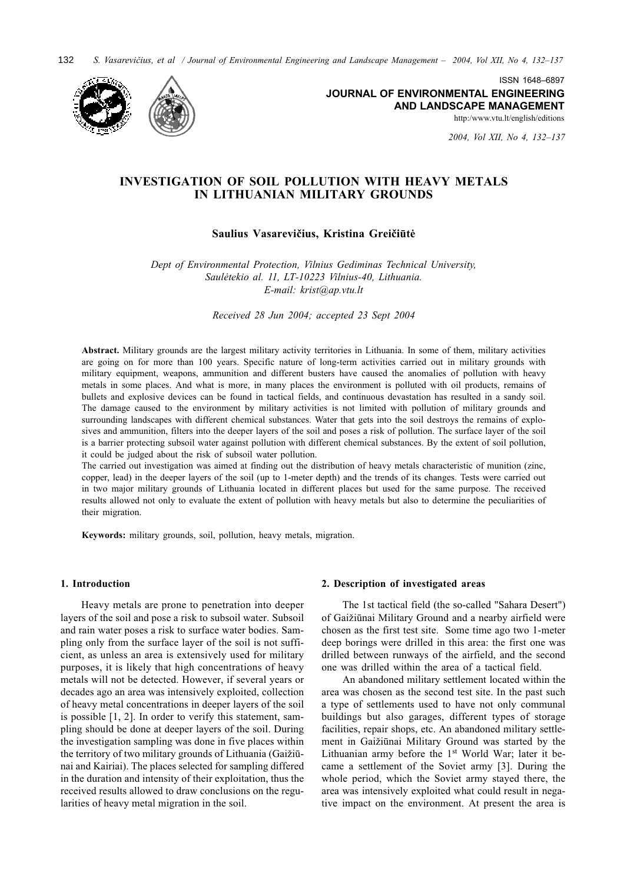132 S. Vasarevičius, et al / Journal of Environmental Engineering and Landscape Management - 2004, Vol XII, No 4, 132-137



ISSN 1648-6897 **JOURNAL OF ENVIRONMENTAL ENGINEERING** AND LANDSCAPE MANAGEMENT

http:/www.vtu.lt/english/editions

2004, Vol XII, No 4, 132-137

# **INVESTIGATION OF SOIL POLLUTION WITH HEAVY METALS** IN LITHUANIAN MILITARY GROUNDS

## Saulius Vasarevičius, Kristina Greičiūtė

Dept of Environmental Protection, Vilnius Gediminas Technical University, Saulėtekio al. 11, LT-10223 Vilnius-40, Lithuania. E-mail: krist@ap.vtu.lt

Received 28 Jun 2004; accepted 23 Sept 2004

Abstract. Military grounds are the largest military activity territories in Lithuania. In some of them, military activities are going on for more than 100 years. Specific nature of long-term activities carried out in military grounds with military equipment, weapons, ammunition and different busters have caused the anomalies of pollution with heavy metals in some places. And what is more, in many places the environment is polluted with oil products, remains of bullets and explosive devices can be found in tactical fields, and continuous devastation has resulted in a sandy soil. The damage caused to the environment by military activities is not limited with pollution of military grounds and surrounding landscapes with different chemical substances. Water that gets into the soil destroys the remains of explosives and ammunition, filters into the deeper layers of the soil and poses a risk of pollution. The surface layer of the soil is a barrier protecting subsoil water against pollution with different chemical substances. By the extent of soil pollution, it could be judged about the risk of subsoil water pollution.

The carried out investigation was aimed at finding out the distribution of heavy metals characteristic of munition (zinc, copper, lead) in the deeper layers of the soil (up to 1-meter depth) and the trends of its changes. Tests were carried out in two major military grounds of Lithuania located in different places but used for the same purpose. The received results allowed not only to evaluate the extent of pollution with heavy metals but also to determine the peculiarities of their migration.

Keywords: military grounds, soil, pollution, heavy metals, migration.

### 1. Introduction

Heavy metals are prone to penetration into deeper layers of the soil and pose a risk to subsoil water. Subsoil and rain water poses a risk to surface water bodies. Sampling only from the surface layer of the soil is not sufficient, as unless an area is extensively used for military purposes, it is likely that high concentrations of heavy metals will not be detected. However, if several years or decades ago an area was intensively exploited, collection of heavy metal concentrations in deeper layers of the soil is possible  $[1, 2]$ . In order to verify this statement, sampling should be done at deeper layers of the soil. During the investigation sampling was done in five places within the territory of two military grounds of Lithuania (Gaižiūnai and Kairiai). The places selected for sampling differed in the duration and intensity of their exploitation, thus the received results allowed to draw conclusions on the regularities of heavy metal migration in the soil.

### 2. Description of investigated areas

The 1st tactical field (the so-called "Sahara Desert") of Gaižiūnai Military Ground and a nearby airfield were chosen as the first test site. Some time ago two 1-meter deep borings were drilled in this area: the first one was drilled between runways of the airfield, and the second one was drilled within the area of a tactical field.

An abandoned military settlement located within the area was chosen as the second test site. In the past such a type of settlements used to have not only communal buildings but also garages, different types of storage facilities, repair shops, etc. An abandoned military settlement in Gaižiūnai Military Ground was started by the Lithuanian army before the 1st World War; later it became a settlement of the Soviet army [3]. During the whole period, which the Soviet army stayed there, the area was intensively exploited what could result in negative impact on the environment. At present the area is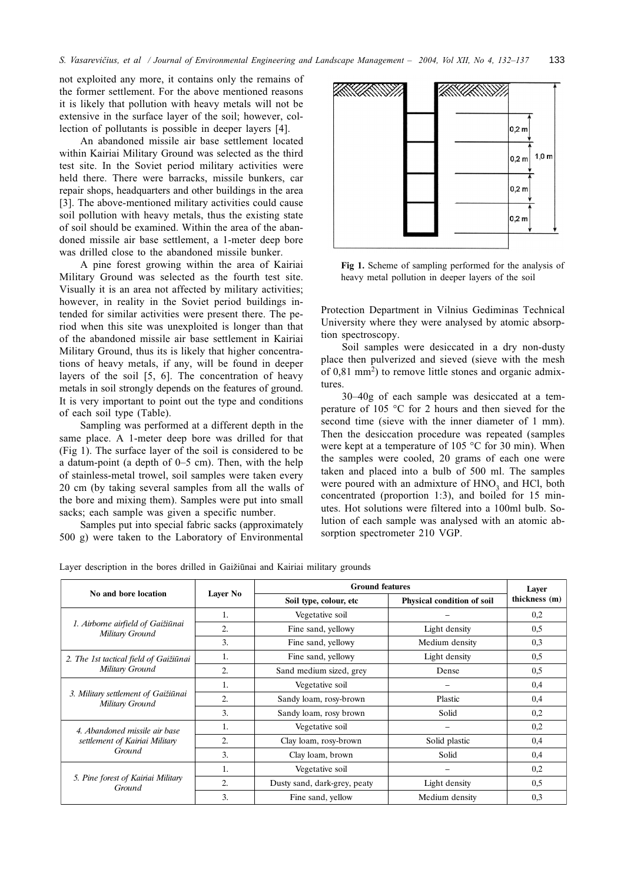not exploited any more, it contains only the remains of the former settlement. For the above mentioned reasons it is likely that pollution with heavy metals will not be extensive in the surface layer of the soil; however, collection of pollutants is possible in deeper layers [4].

An abandoned missile air base settlement located within Kairiai Military Ground was selected as the third test site. In the Soviet period military activities were held there. There were barracks, missile bunkers, car repair shops, headquarters and other buildings in the area [3]. The above-mentioned military activities could cause soil pollution with heavy metals, thus the existing state of soil should be examined. Within the area of the abandoned missile air base settlement, a 1-meter deep bore was drilled close to the abandoned missile bunker.

A pine forest growing within the area of Kairiai Military Ground was selected as the fourth test site. Visually it is an area not affected by military activities; however, in reality in the Soviet period buildings intended for similar activities were present there. The period when this site was unexploited is longer than that of the abandoned missile air base settlement in Kairiai Military Ground, thus its is likely that higher concentrations of heavy metals, if any, will be found in deeper layers of the soil [5, 6]. The concentration of heavy metals in soil strongly depends on the features of ground. It is very important to point out the type and conditions of each soil type (Table).

Sampling was performed at a different depth in the same place. A 1-meter deep bore was drilled for that (Fig 1). The surface layer of the soil is considered to be a datum-point (a depth of  $0-5$  cm). Then, with the help of stainless-metal trowel, soil samples were taken every 20 cm (by taking several samples from all the walls of the bore and mixing them). Samples were put into small sacks; each sample was given a specific number.

Samples put into special fabric sacks (approximately 500 g) were taken to the Laboratory of Environmental



Fig 1. Scheme of sampling performed for the analysis of heavy metal pollution in deeper layers of the soil

Protection Department in Vilnius Gediminas Technical University where they were analysed by atomic absorption spectroscopy.

Soil samples were desiccated in a dry non-dusty place then pulverized and sieved (sieve with the mesh of  $0,81$  mm<sup>2</sup>) to remove little stones and organic admixtures.

30–40g of each sample was desiccated at a temperature of 105 °C for 2 hours and then sieved for the second time (sieve with the inner diameter of 1 mm). Then the desiccation procedure was repeated (samples were kept at a temperature of 105 °C for 30 min). When the samples were cooled, 20 grams of each one were taken and placed into a bulb of 500 ml. The samples were poured with an admixture of HNO<sub>3</sub> and HCl, both concentrated (proportion 1:3), and boiled for 15 minutes. Hot solutions were filtered into a 100ml bulb. Solution of each sample was analysed with an atomic absorption spectrometer 210 VGP.

Layer description in the bores drilled in Gaižiūnai and Kairiai military grounds

| No and bore location                                                      | Layer No | <b>Ground features</b>       |                            | Laver         |
|---------------------------------------------------------------------------|----------|------------------------------|----------------------------|---------------|
|                                                                           |          | Soil type, colour, etc       | Physical condition of soil | thickness (m) |
| 1. Airborne airfield of Gaižiūnai<br>Military Ground                      | 1.       | Vegetative soil              |                            | 0,2           |
|                                                                           | 2.       | Fine sand, yellowy           | Light density              | 0,5           |
|                                                                           | 3.       | Fine sand, yellowy           | Medium density             | 0,3           |
| 2. The 1st tactical field of Gaižiūnai<br>Military Ground                 | 1.       | Fine sand, yellowy           | Light density              | 0,5           |
|                                                                           | 2.       | Sand medium sized, grey      | Dense                      | 0,5           |
| 3. Military settlement of Gaižiūnai<br>Military Ground                    | 1.       | Vegetative soil              |                            | 0,4           |
|                                                                           | 2.       | Sandy loam, rosy-brown       | Plastic                    | 0,4           |
|                                                                           | 3.       | Sandy loam, rosy brown       | Solid                      | 0,2           |
| 4. Abandoned missile air base<br>settlement of Kairiai Military<br>Ground | 1.       | Vegetative soil              |                            | 0,2           |
|                                                                           | 2.       | Clay loam, rosy-brown        | Solid plastic              | 0,4           |
|                                                                           | 3.       | Clay loam, brown             | Solid                      | 0,4           |
| 5. Pine forest of Kairiai Military<br>Ground                              | 1.       | Vegetative soil              |                            | 0,2           |
|                                                                           | 2.       | Dusty sand, dark-grey, peaty | Light density              | 0,5           |
|                                                                           | 3.       | Fine sand, yellow            | Medium density             | 0,3           |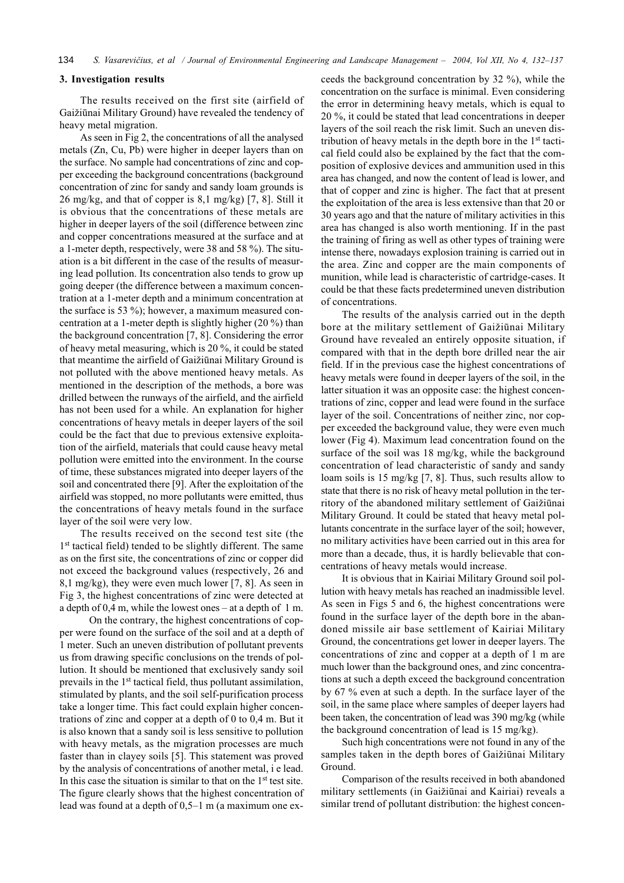### 3. Investigation results

The results received on the first site (airfield of Gaižiūnai Military Ground) have revealed the tendency of heavy metal migration.

As seen in Fig 2, the concentrations of all the analysed metals (Zn, Cu, Pb) were higher in deeper layers than on the surface. No sample had concentrations of zinc and copper exceeding the background concentrations (background concentration of zinc for sandy and sandy loam grounds is 26 mg/kg, and that of copper is 8,1 mg/kg) [7, 8]. Still it is obvious that the concentrations of these metals are higher in deeper layers of the soil (difference between zinc and copper concentrations measured at the surface and at a 1-meter depth, respectively, were 38 and 58  $\%$ ). The situation is a bit different in the case of the results of measuring lead pollution. Its concentration also tends to grow up going deeper (the difference between a maximum concentration at a 1-meter depth and a minimum concentration at the surface is 53  $\%$ ); however, a maximum measured concentration at a 1-meter depth is slightly higher  $(20\%)$  than the background concentration  $[7, 8]$ . Considering the error of heavy metal measuring, which is 20 %, it could be stated that meantime the airfield of Gaižiūnai Military Ground is not polluted with the above mentioned heavy metals. As mentioned in the description of the methods, a bore was drilled between the runways of the airfield, and the airfield has not been used for a while. An explanation for higher concentrations of heavy metals in deeper layers of the soil could be the fact that due to previous extensive exploitation of the airfield, materials that could cause heavy metal pollution were emitted into the environment. In the course of time, these substances migrated into deeper layers of the soil and concentrated there [9]. After the exploitation of the airfield was stopped, no more pollutants were emitted, thus the concentrations of heavy metals found in the surface layer of the soil were very low.

The results received on the second test site (the 1<sup>st</sup> tactical field) tended to be slightly different. The same as on the first site, the concentrations of zinc or copper did not exceed the background values (respectively, 26 and 8,1 mg/kg), they were even much lower [7, 8]. As seen in Fig 3, the highest concentrations of zinc were detected at a depth of 0,4 m, while the lowest ones – at a depth of 1 m.

On the contrary, the highest concentrations of copper were found on the surface of the soil and at a depth of 1 meter. Such an uneven distribution of pollutant prevents us from drawing specific conclusions on the trends of pollution. It should be mentioned that exclusively sandy soil prevails in the 1<sup>st</sup> tactical field, thus pollutant assimilation, stimulated by plants, and the soil self-purification process take a longer time. This fact could explain higher concentrations of zinc and copper at a depth of  $0$  to  $0,4$  m. But it is also known that a sandy soil is less sensitive to pollution with heavy metals, as the migration processes are much faster than in clayey soils [5]. This statement was proved by the analysis of concentrations of another metal, i e lead. In this case the situation is similar to that on the 1<sup>st</sup> test site. The figure clearly shows that the highest concentration of lead was found at a depth of  $0,5-1$  m (a maximum one exceeds the background concentration by 32 %), while the concentration on the surface is minimal. Even considering the error in determining heavy metals, which is equal to 20 %, it could be stated that lead concentrations in deeper layers of the soil reach the risk limit. Such an uneven distribution of heavy metals in the depth bore in the 1<sup>st</sup> tactical field could also be explained by the fact that the composition of explosive devices and ammunition used in this area has changed, and now the content of lead is lower, and that of copper and zinc is higher. The fact that at present the exploitation of the area is less extensive than that 20 or 30 years ago and that the nature of military activities in this area has changed is also worth mentioning. If in the past the training of firing as well as other types of training were intense there, nowadays explosion training is carried out in the area. Zinc and copper are the main components of munition, while lead is characteristic of cartridge-cases. It could be that these facts predetermined uneven distribution of concentrations.

The results of the analysis carried out in the depth bore at the military settlement of Gaižiūnai Military Ground have revealed an entirely opposite situation, if compared with that in the depth bore drilled near the air field. If in the previous case the highest concentrations of heavy metals were found in deeper layers of the soil, in the latter situation it was an opposite case: the highest concentrations of zinc, copper and lead were found in the surface laver of the soil. Concentrations of neither zinc, nor copper exceeded the background value, they were even much lower (Fig 4). Maximum lead concentration found on the surface of the soil was 18 mg/kg, while the background concentration of lead characteristic of sandy and sandy loam soils is 15 mg/kg [7, 8]. Thus, such results allow to state that there is no risk of heavy metal pollution in the territory of the abandoned military settlement of Gaižiūnai Military Ground. It could be stated that heavy metal pollutants concentrate in the surface layer of the soil; however, no military activities have been carried out in this area for more than a decade, thus, it is hardly believable that concentrations of heavy metals would increase.

It is obvious that in Kairiai Military Ground soil pollution with heavy metals has reached an inadmissible level. As seen in Figs 5 and 6, the highest concentrations were found in the surface layer of the depth bore in the abandoned missile air base settlement of Kairiai Military Ground, the concentrations get lower in deeper layers. The concentrations of zinc and copper at a depth of 1 m are much lower than the background ones, and zinc concentrations at such a depth exceed the background concentration by 67 % even at such a depth. In the surface layer of the soil, in the same place where samples of deeper layers had been taken, the concentration of lead was 390 mg/kg (while the background concentration of lead is 15 mg/kg).

Such high concentrations were not found in any of the samples taken in the depth bores of Gaižiūnai Military Ground

Comparison of the results received in both abandoned military settlements (in Gaižiūnai and Kairiai) reveals a similar trend of pollutant distribution: the highest concen-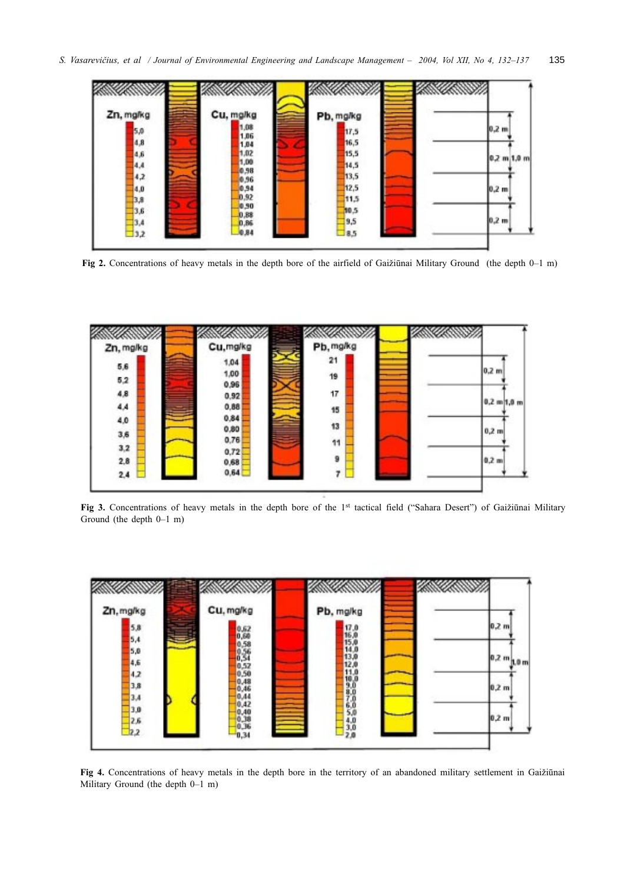

Fig 2. Concentrations of heavy metals in the depth bore of the airfield of Gaižiūnai Military Ground (the depth  $0-1$  m)



Fig 3. Concentrations of heavy metals in the depth bore of the 1st tactical field ("Sahara Desert") of Gaižiūnai Military Ground (the depth  $0-1$  m)



Fig 4. Concentrations of heavy metals in the depth bore in the territory of an abandoned military settlement in Gaižiūnai Military Ground (the depth 0-1 m)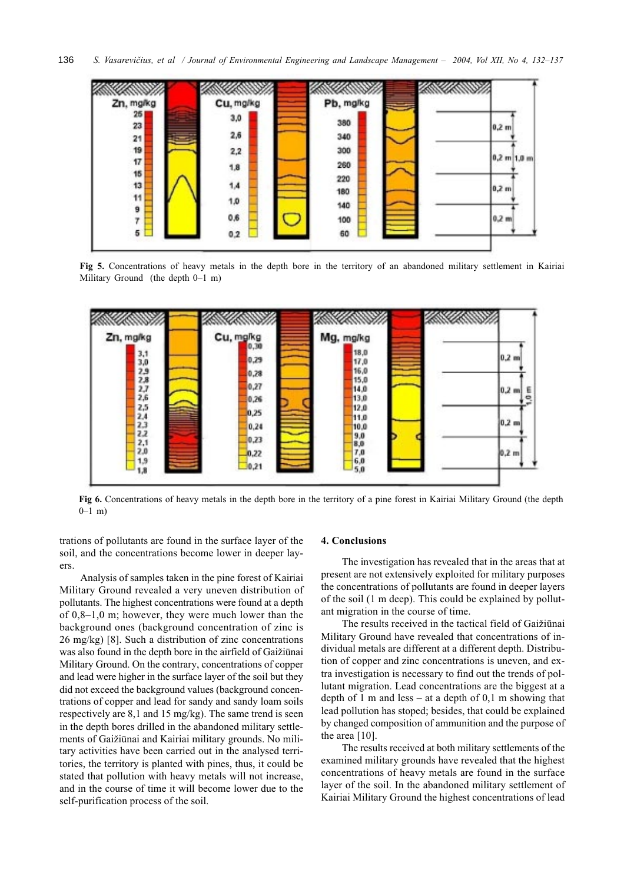

Fig 5. Concentrations of heavy metals in the depth bore in the territory of an abandoned military settlement in Kairiai Military Ground (the depth  $0-1$  m)



Fig 6. Concentrations of heavy metals in the depth bore in the territory of a pine forest in Kairiai Military Ground (the depth  $0-1$  m)

trations of pollutants are found in the surface layer of the soil, and the concentrations become lower in deeper layers.

Analysis of samples taken in the pine forest of Kairiai Military Ground revealed a very uneven distribution of pollutants. The highest concentrations were found at a depth of  $0,8-1,0$  m; however, they were much lower than the background ones (background concentration of zinc is 26 mg/kg) [8]. Such a distribution of zinc concentrations was also found in the depth bore in the airfield of Gaižiūnai Military Ground. On the contrary, concentrations of copper and lead were higher in the surface layer of the soil but they did not exceed the background values (background concentrations of copper and lead for sandy and sandy loam soils respectively are 8,1 and 15 mg/kg). The same trend is seen in the depth bores drilled in the abandoned military settlements of Gaižiūnai and Kairiai military grounds. No military activities have been carried out in the analysed territories, the territory is planted with pines, thus, it could be stated that pollution with heavy metals will not increase, and in the course of time it will become lower due to the self-purification process of the soil.

#### 4. Conclusions

The investigation has revealed that in the areas that at present are not extensively exploited for military purposes the concentrations of pollutants are found in deeper layers of the soil (1 m deep). This could be explained by pollutant migration in the course of time.

The results received in the tactical field of Gaižiūnai Military Ground have revealed that concentrations of individual metals are different at a different depth. Distribution of copper and zinc concentrations is uneven, and extra investigation is necessary to find out the trends of pollutant migration. Lead concentrations are the biggest at a depth of 1 m and less – at a depth of 0,1 m showing that lead pollution has stoped; besides, that could be explained by changed composition of ammunition and the purpose of the area  $[10]$ .

The results received at both military settlements of the examined military grounds have revealed that the highest concentrations of heavy metals are found in the surface layer of the soil. In the abandoned military settlement of Kairiai Military Ground the highest concentrations of lead